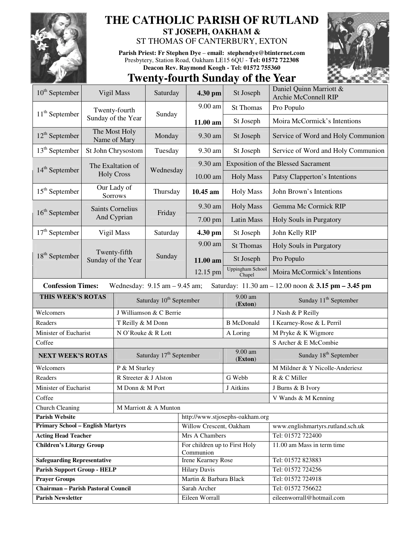

## **THE CATHOLIC PARISH OF RUTLAND ST JOSEPH, OAKHAM &**

## ST THOMAS OF CANTERBURY, EXTON

**Parish Priest: Fr Stephen Dye** – **email: stephendye@btinternet.com** Presbytery, Station Road, Oakham LE15 6QU - **Tel: 01572 722308 Deacon Rev. Raymond Keogh - Tel: 01572 755360** 



## **Twenty-fourth Sunday of the Year**

| $10th$ September                                                                                                    | Vigil Mass                             |                                     | Saturday                            | 4.30 pm                                    | St Joseph                                  | Daniel Quinn Marriott &                        |  |  |
|---------------------------------------------------------------------------------------------------------------------|----------------------------------------|-------------------------------------|-------------------------------------|--------------------------------------------|--------------------------------------------|------------------------------------------------|--|--|
|                                                                                                                     |                                        |                                     |                                     |                                            |                                            | <b>Archie McConnell RIP</b>                    |  |  |
| $11th$ September                                                                                                    | Twenty-fourth                          |                                     | Sunday                              | 9.00 am                                    | <b>St Thomas</b>                           | Pro Populo                                     |  |  |
|                                                                                                                     |                                        | Sunday of the Year                  |                                     | 11.00 am                                   | St Joseph                                  | Moira McCormick's Intentions                   |  |  |
| $12^{\text{th}}$ September                                                                                          | The Most Holy<br>Name of Mary          |                                     | Monday                              | 9.30 am                                    | St Joseph                                  | Service of Word and Holy Communion             |  |  |
| $13th$ September                                                                                                    | St John Chrysostom                     |                                     | Tuesday                             | 9.30 am                                    | St Joseph                                  | Service of Word and Holy Communion             |  |  |
| $14th$ September                                                                                                    |                                        | The Exaltation of                   |                                     | 9.30 am                                    | <b>Exposition of the Blessed Sacrament</b> |                                                |  |  |
|                                                                                                                     |                                        | <b>Holy Cross</b>                   | Wednesday                           | $10.00$ am                                 | <b>Holy Mass</b>                           | Patsy Clapperton's Intentions                  |  |  |
| $15th$ September                                                                                                    | Our Lady of<br>Sorrows                 |                                     | Thursday                            | 10.45 am                                   | <b>Holy Mass</b>                           | John Brown's Intentions                        |  |  |
| $16th$ September                                                                                                    | <b>Saints Cornelius</b><br>And Cyprian |                                     | Friday                              | 9.30 am                                    | <b>Holy Mass</b>                           | Gemma Mc Cormick RIP                           |  |  |
|                                                                                                                     |                                        |                                     |                                     | $7.00$ pm                                  | Latin Mass                                 | Holy Souls in Purgatory                        |  |  |
| $17th$ September                                                                                                    |                                        | Vigil Mass                          | Saturday                            | 4.30 pm                                    | St Joseph                                  | John Kelly RIP                                 |  |  |
| $18th$ September                                                                                                    |                                        |                                     |                                     | 9.00 am                                    | <b>St Thomas</b>                           | Holy Souls in Purgatory                        |  |  |
|                                                                                                                     |                                        | Twenty-fifth<br>Sunday of the Year  | Sunday                              | 11.00 am                                   | St Joseph                                  | Pro Populo                                     |  |  |
|                                                                                                                     |                                        |                                     |                                     | 12.15 pm                                   | Uppingham School<br>Chapel                 | Moira McCormick's Intentions                   |  |  |
| <b>Confession Times:</b><br>Wednesday: $9.15$ am $-9.45$ am;<br>Saturday: 11.30 am - 12.00 noon & 3.15 pm - 3.45 pm |                                        |                                     |                                     |                                            |                                            |                                                |  |  |
| THIS WEEK'S ROTAS                                                                                                   |                                        |                                     | Saturday 10 <sup>th</sup> September |                                            | 9.00 am<br>(Exton)                         | Sunday 11 <sup>th</sup> September              |  |  |
| Welcomers                                                                                                           |                                        | J Williamson & C Berrie             |                                     |                                            | J Nash & P Reilly                          |                                                |  |  |
| Readers                                                                                                             |                                        |                                     | T Reilly & M Donn                   |                                            | <b>B</b> McDonald                          | I Kearney-Rose & L Perril                      |  |  |
| Minister of Eucharist                                                                                               |                                        | N O'Rouke & R Lott                  |                                     |                                            | A Loring                                   | M Pryke & K Wigmore                            |  |  |
| Coffee                                                                                                              |                                        |                                     |                                     |                                            |                                            | S Archer & E McCombie                          |  |  |
| <b>NEXT WEEK'S ROTAS</b>                                                                                            |                                        | Saturday 17 <sup>th</sup> September |                                     |                                            | 9.00 am<br>(Exton)                         | Sunday 18 <sup>th</sup> September              |  |  |
| Welcomers                                                                                                           |                                        |                                     | P & M Sturley                       |                                            |                                            | M Mildner & Y Nicolle-Anderiesz                |  |  |
| Readers                                                                                                             |                                        |                                     | R Streeter & J Alston               |                                            | G Webb                                     | R & C Miller                                   |  |  |
| Minister of Eucharist<br>M Donn & M Port                                                                            |                                        |                                     |                                     | J Aitkins                                  | J Burns & B Ivory                          |                                                |  |  |
| Coffee                                                                                                              |                                        |                                     |                                     |                                            |                                            | V Wands & M Kenning                            |  |  |
| Church Cleaning<br>M Marriott & A Munton                                                                            |                                        |                                     |                                     |                                            |                                            |                                                |  |  |
| Parish Website                                                                                                      |                                        |                                     |                                     |                                            |                                            |                                                |  |  |
|                                                                                                                     |                                        |                                     |                                     |                                            | http://www.stjosephs-oakham.org            |                                                |  |  |
| <b>Primary School - English Martyrs</b>                                                                             |                                        |                                     |                                     | Willow Crescent, Oakham                    |                                            | www.englishmartyrs.rutland.sch.uk              |  |  |
| <b>Acting Head Teacher</b>                                                                                          |                                        |                                     |                                     | Mrs A Chambers                             |                                            | Tel: 01572 722400                              |  |  |
| <b>Children's Liturgy Group</b>                                                                                     |                                        |                                     |                                     | For children up to First Holy<br>Communion |                                            | 11.00 am Mass in term time                     |  |  |
| <b>Safeguarding Representative</b>                                                                                  |                                        |                                     |                                     | Irene Kearney Rose                         |                                            | Tel: 01572 823883                              |  |  |
| <b>Parish Support Group - HELP</b>                                                                                  |                                        |                                     |                                     | <b>Hilary Davis</b>                        |                                            | Tel: 01572 724256                              |  |  |
| <b>Prayer Groups</b>                                                                                                |                                        |                                     |                                     | Martin & Barbara Black                     |                                            | Tel: 01572 724918                              |  |  |
| <b>Chairman - Parish Pastoral Council</b><br><b>Parish Newsletter</b>                                               |                                        |                                     |                                     | Sarah Archer<br>Eileen Worrall             |                                            | Tel: 01572 756622<br>eileenworrall@hotmail.com |  |  |